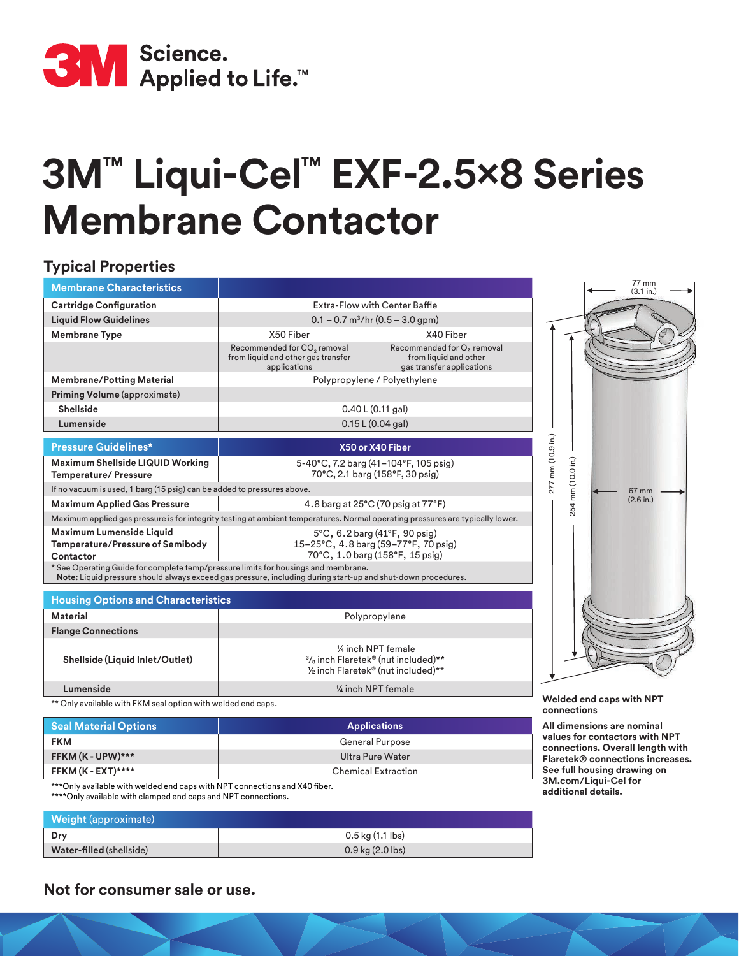

## **3M™ Liqui-Cel™ EXF-2.5x8 Series Membrane Contactor**

## **Typical Properties**

| <b>Membrane Characteristics</b>                                                                                                                                                                    |                                                                                                                               |                                                                                              |                                    | 77 mm<br>(3.1 in.) |
|----------------------------------------------------------------------------------------------------------------------------------------------------------------------------------------------------|-------------------------------------------------------------------------------------------------------------------------------|----------------------------------------------------------------------------------------------|------------------------------------|--------------------|
| <b>Cartridge Configuration</b>                                                                                                                                                                     | Extra-Flow with Center Baffle                                                                                                 |                                                                                              |                                    |                    |
| <b>Liquid Flow Guidelines</b>                                                                                                                                                                      | $0.1 - 0.7$ m <sup>3</sup> /hr (0.5 – 3.0 gpm)                                                                                |                                                                                              |                                    |                    |
| <b>Membrane Type</b>                                                                                                                                                                               | X50 Fiber                                                                                                                     | X40 Fiber                                                                                    |                                    |                    |
|                                                                                                                                                                                                    | Recommended for CO <sub>2</sub> removal<br>from liquid and other gas transfer<br>applications                                 | Recommended for O <sub>2</sub> removal<br>from liquid and other<br>gas transfer applications |                                    |                    |
| <b>Membrane/Potting Material</b>                                                                                                                                                                   | Polypropylene / Polyethylene                                                                                                  |                                                                                              |                                    |                    |
| Priming Volume (approximate)                                                                                                                                                                       |                                                                                                                               |                                                                                              |                                    |                    |
| <b>Shellside</b>                                                                                                                                                                                   | 0.40 L (0.11 gal)                                                                                                             |                                                                                              |                                    |                    |
| Lumenside                                                                                                                                                                                          | 0.15 L (0.04 gal)                                                                                                             |                                                                                              |                                    |                    |
| <b>Pressure Guidelines*</b>                                                                                                                                                                        | X50 or X40 Fiber                                                                                                              |                                                                                              |                                    |                    |
| Maximum Shellside LIQUID Working<br><b>Temperature/ Pressure</b>                                                                                                                                   | 5-40°C, 7.2 barg (41-104°F, 105 psig)<br>70°C, 2.1 barg (158°F, 30 psig)                                                      |                                                                                              | 277 mm (10.9 in.)<br>mm (10.0 in.) |                    |
| If no vacuum is used, 1 barg (15 psig) can be added to pressures above.                                                                                                                            |                                                                                                                               |                                                                                              |                                    | 67 mm              |
| <b>Maximum Applied Gas Pressure</b>                                                                                                                                                                | 4.8 barg at 25°C (70 psig at 77°F)                                                                                            |                                                                                              | 254                                | (2.6 in.)          |
| Maximum applied gas pressure is for integrity testing at ambient temperatures. Normal operating pressures are typically lower.                                                                     |                                                                                                                               |                                                                                              |                                    |                    |
| Maximum Lumenside Liquid<br><b>Temperature/Pressure of Semibody</b><br>Contactor                                                                                                                   | $5^{\circ}$ C, 6.2 barg (41 $^{\circ}$ F, 90 psig)<br>15-25°C, 4.8 barg (59-77°F, 70 psig)<br>70°C, 1.0 barg (158°F, 15 psig) |                                                                                              |                                    |                    |
| * See Operating Guide for complete temp/pressure limits for housings and membrane.<br>Note: Liquid pressure should always exceed gas pressure, including during start-up and shut-down procedures. |                                                                                                                               |                                                                                              |                                    |                    |
|                                                                                                                                                                                                    |                                                                                                                               |                                                                                              |                                    |                    |

| <b>Housing Options and Characteristics</b> |                                                                                                             |  |
|--------------------------------------------|-------------------------------------------------------------------------------------------------------------|--|
| Material                                   | Polypropylene                                                                                               |  |
| <b>Flange Connections</b>                  |                                                                                                             |  |
| Shellside (Liquid Inlet/Outlet)            | 1⁄4 inch NPT female<br>$\frac{3}{8}$ inch Flaretek® (nut included)**<br>1/2 inch Flaretek® (nut included)** |  |
| Lumenside                                  | 1/4 inch NPT female                                                                                         |  |

\*\* Only available with FKM seal option with welded end caps.

| <b>Seal Material Options</b> | <b>Applications</b>        | A               |
|------------------------------|----------------------------|-----------------|
| <b>FKM</b>                   | <b>General Purpose</b>     | Va<br><b>CC</b> |
| FFKM (K - UPW)***            | Ultra Pure Water           | FI              |
| FFKM (K - EXT)*****          | <b>Chemical Extraction</b> | $S_6$<br>$\sim$ |

\*\*\* Only available with welded end caps with NPT connections and X40 fiber. \*\*\*\*Only available with clamped end caps and NPT connections.

| <b>Weight</b> (approximate) |                      |
|-----------------------------|----------------------|
| Drv                         | $0.5$ kg $(1.1$ lbs) |
| Water-filled (shellside)    | $0.9$ kg $(2.0$ lbs) |

**Welded end caps with NPT** 

**connections**

**All dimensions are nominal values for contactors with NPT connections. Overall length with Flaretek® connections increases. see full housing drawing on 3M.com/Liqui-Cel for additional details.**

**Not for consumer sale or use.**